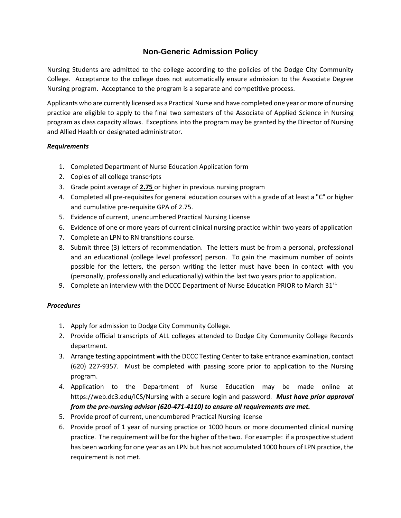## **Non-Generic Admission Policy**

Nursing Students are admitted to the college according to the policies of the Dodge City Community College. Acceptance to the college does not automatically ensure admission to the Associate Degree Nursing program. Acceptance to the program is a separate and competitive process.

Applicants who are currently licensed as a Practical Nurse and have completed one year or more of nursing practice are eligible to apply to the final two semesters of the Associate of Applied Science in Nursing program as class capacity allows. Exceptions into the program may be granted by the Director of Nursing and Allied Health or designated administrator.

## *Requirements*

- 1. Completed Department of Nurse Education Application form
- 2. Copies of all college transcripts
- 3. Grade point average of **2.75** or higher in previous nursing program
- 4. Completed all pre-requisites for general education courses with a grade of at least a "C" or higher and cumulative pre-requisite GPA of 2.75.
- 5. Evidence of current, unencumbered Practical Nursing License
- 6. Evidence of one or more years of current clinical nursing practice within two years of application
- 7. Complete an LPN to RN transitions course.
- 8. Submit three (3) letters of recommendation. The letters must be from a personal, professional and an educational (college level professor) person. To gain the maximum number of points possible for the letters, the person writing the letter must have been in contact with you (personally, professionally and educationally) within the last two years prior to application.
- 9. Complete an interview with the DCCC Department of Nurse Education PRIOR to March  $31^{st}$ .

## *Procedures*

- 1. Apply for admission to Dodge City Community College.
- 2. Provide official transcripts of ALL colleges attended to Dodge City Community College Records department.
- 3. Arrange testing appointment with the DCCC Testing Center to take entrance examination, contact (620) 227-9357. Must be completed with passing score prior to application to the Nursing program.
- *4.* Application to the Department of Nurse Education may be made online at https://web.dc3.edu/ICS/Nursing with a secure login and password.*Must have prior approval from the pre-nursing advisor (620-471-4110) to ensure all requirements are met.*
- 5. Provide proof of current, unencumbered Practical Nursing license
- 6. Provide proof of 1 year of nursing practice or 1000 hours or more documented clinical nursing practice. The requirement will be for the higher of the two. For example: if a prospective student has been working for one year as an LPN but has not accumulated 1000 hours of LPN practice, the requirement is not met.